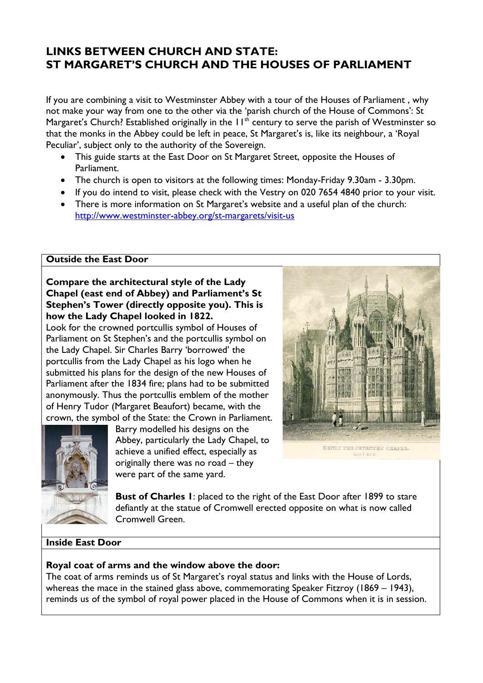# **LINKS BETWEEN CHURCH AND STATE: ST MARGARET'S CHURCH AND THE HOUSES OF PARLIAMENT**

If you are combining a visit to Westminster Abbey with a tour of the Houses of Parliament , why not make your way from one to the other via the 'parish church of the House of Commons': St Margaret's Church? Established originally in the  $11<sup>th</sup>$  century to serve the parish of Westminster so that the monks in the Abbey could be left in peace, St Margaret's is, like its neighbour, a 'Royal Peculiar', subject only to the authority of the Sovereign.

- This guide starts at the East Door on St Margaret Street, opposite the Houses of Parliament.
- The church is open to visitors at the following times: Monday-Friday 9.30am 3.30pm.
- If you do intend to visit, please check with the Vestry on 020 7654 4840 prior to your visit.
- There is more information on St Margaret's website and a useful plan of the church: http://www.westminster-abbey.org/st-margarets/visit-us

### **Outside the East Door**

## **Compare the architectural style of the Lady Chapel (east end of Abbey) and Parliament's St Stephen's Tower (directly opposite you). This is how the Lady Chapel looked in 1822.**

Look for the crowned portcullis symbol of Houses of Parliament on St Stephen's and the portcullis symbol on the Lady Chapel. Sir Charles Barry 'borrowed' the portcullis from the Lady Chapel as his logo when he submitted his plans for the design of the new Houses of Parliament after the 1834 fire; plans had to be submitted anonymously. Thus the portcullis emblem of the mother of Henry Tudor (Margaret Beaufort) became, with the crown, the symbol of the State: the Crown in Parliament.



Barry modelled his designs on the Abbey, particularly the Lady Chapel, to achieve a unified effect, especially as originally there was no road – they were part of the same yard.



**Bust of Charles 1**: placed to the right of the East Door after 1899 to stare defiantly at the statue of Cromwell erected opposite on what is now called Cromwell Green.

## **Inside East Door**

## **Royal coat of arms and the window above the door:**

The coat of arms reminds us of St Margaret's royal status and links with the House of Lords, whereas the mace in the stained glass above, commemorating Speaker Fitzroy (1869 – 1943), reminds us of the symbol of royal power placed in the House of Commons when it is in session.